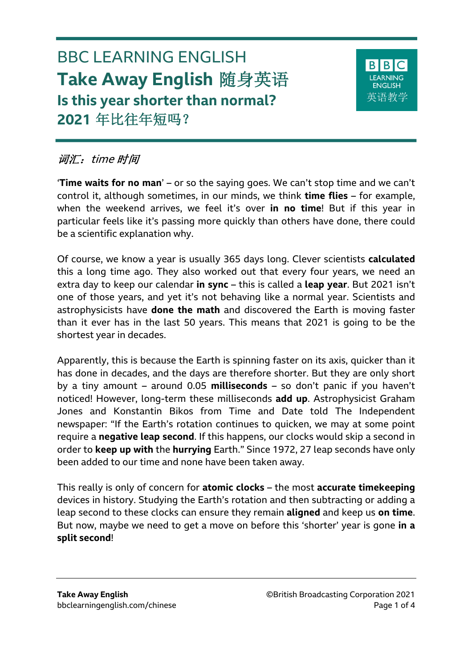# BBC LEARNING ENGLISH **Take Away English** 随身英语 **Is this year shorter than normal? 2021** 年比往年短吗?



# 词汇: time 时间

'**Time waits for no man**' – or so the saying goes. We can't stop time and we can't control it, although sometimes, in our minds, we think **time flies** – for example, when the weekend arrives, we feel it's over **in no time**! But if this year in particular feels like it's passing more quickly than others have done, there could be a scientific explanation why.

Of course, we know a year is usually 365 days long. Clever scientists **calculated** this a long time ago. They also worked out that every four years, we need an extra day to keep our calendar **in sync** – this is called a **leap year**. But 2021 isn't one of those years, and yet it's not behaving like a normal year. Scientists and astrophysicists have **done the math** and discovered the Earth is moving faster than it ever has in the last 50 years. This means that 2021 is going to be the shortest year in decades.

Apparently, this is because the Earth is spinning faster on its axis, quicker than it has done in decades, and the days are therefore shorter. But they are only short by a tiny amount – around 0.05 **milliseconds** – so don't panic if you haven't noticed! However, long-term these milliseconds **add up**. Astrophysicist Graham Jones and Konstantin Bikos from Time and Date told The Independent newspaper: "If the Earth's rotation continues to quicken, we may at some point require a **negative leap second**. If this happens, our clocks would skip a second in order to **keep up with** the **hurrying** Earth." Since 1972, 27 leap seconds have only been added to our time and none have been taken away.

This really is only of concern for **atomic clocks** – the most **accurate timekeeping**  devices in history. Studying the Earth's rotation and then subtracting or adding a leap second to these clocks can ensure they remain **aligned** and keep us **on time**. But now, maybe we need to get a move on before this 'shorter' year is gone **in a split second**!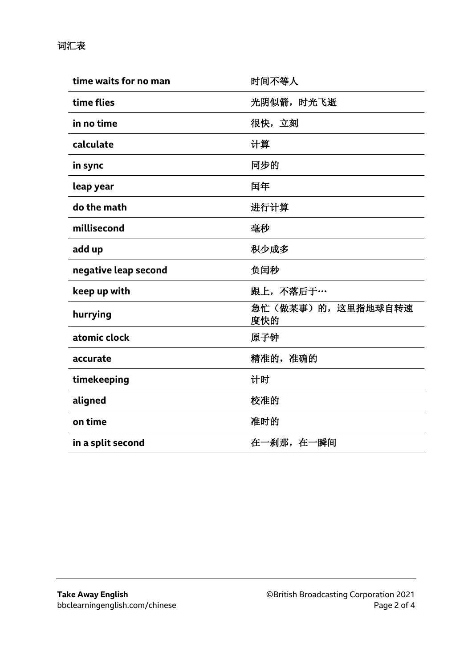| time waits for no man | 时间不等人                    |
|-----------------------|--------------------------|
| time flies            | 光阴似箭, 时光飞逝               |
| in no time            | 很快,立刻                    |
| calculate             | 计算                       |
| in sync               | 同步的                      |
| leap year             | 闰年                       |
| do the math           | 进行计算                     |
| millisecond           | 毫秒                       |
| add up                | 积少成多                     |
| negative leap second  | 负闰秒                      |
| keep up with          | 跟上,不落后于…                 |
| hurrying              | 急忙(做某事)的,这里指地球自转速<br>度快的 |
| atomic clock          | 原子钟                      |
| accurate              | 精准的, 准确的                 |
| timekeeping           | 计时                       |
| aligned               | 校准的                      |
| on time               | 准时的                      |
| in a split second     | 在一刹那, 在一瞬间               |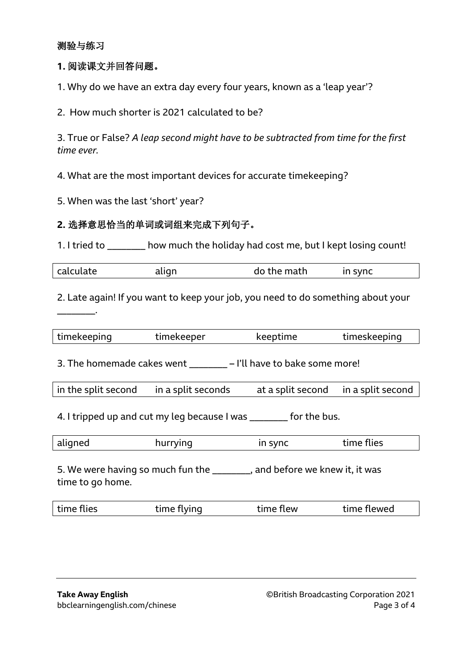#### 测验与练习

\_\_\_\_\_\_\_\_.

#### **1.** 阅读课文并回答问题。

1. Why do we have an extra day every four years, known as a 'leap year'?

2. How much shorter is 2021 calculated to be?

3. True or False? *A leap second might have to be subtracted from time for the first time ever.*

4. What are the most important devices for accurate timekeeping?

5. When was the last 'short' year?

#### **2.** 选择意思恰当的单词或词组来完成下列句子。

1. I tried to \_\_\_\_\_\_\_\_ how much the holiday had cost me, but I kept losing count!

| calculate | align | do the math | in sync |  |
|-----------|-------|-------------|---------|--|
|-----------|-------|-------------|---------|--|

2. Late again! If you want to keep your job, you need to do something about your

| timekeeping | timekeeper | keeptime | timeskeeping |
|-------------|------------|----------|--------------|
|             |            |          |              |

3. The homemade cakes went \_\_\_\_\_\_\_\_ – I'll have to bake some more!

| in the split second | in a split seconds | at a split second in a split second |  |
|---------------------|--------------------|-------------------------------------|--|
|                     |                    |                                     |  |

4. I tripped up and cut my leg because I was \_\_\_\_\_\_\_ for the bus.

| aligned | nurrying | in sync | time flies |  |
|---------|----------|---------|------------|--|
|         |          |         |            |  |

5. We were having so much fun the \_\_\_\_\_\_\_\_, and before we knew it, it was time to go home.

|  | time flies | time flying | time flew | time flewed |
|--|------------|-------------|-----------|-------------|
|--|------------|-------------|-----------|-------------|